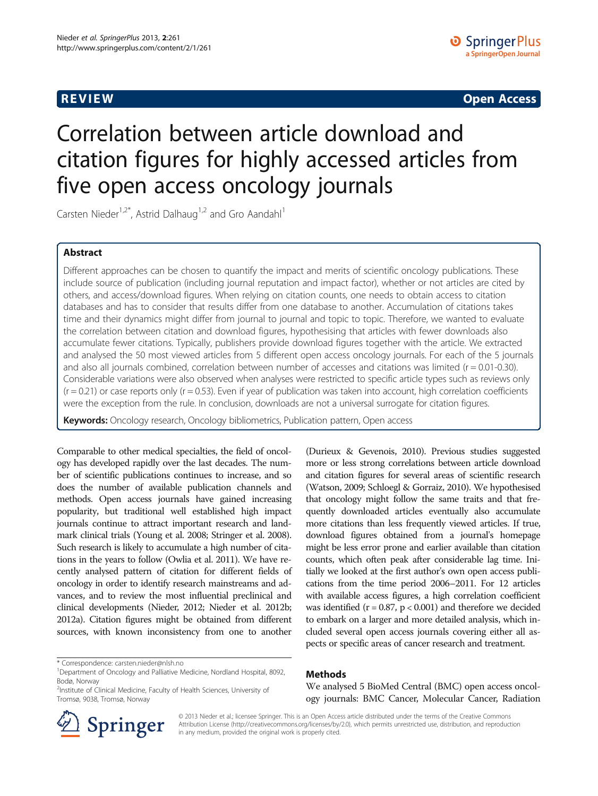**REVIEW CONSTRUCTION CONSTRUCTION CONSTRUCTS** 

# Correlation between article download and citation figures for highly accessed articles from five open access oncology journals

Carsten Nieder<sup>1,2\*</sup>, Astrid Dalhaug<sup>1,2</sup> and Gro Aandahl<sup>1</sup>

# Abstract

Different approaches can be chosen to quantify the impact and merits of scientific oncology publications. These include source of publication (including journal reputation and impact factor), whether or not articles are cited by others, and access/download figures. When relying on citation counts, one needs to obtain access to citation databases and has to consider that results differ from one database to another. Accumulation of citations takes time and their dynamics might differ from journal to journal and topic to topic. Therefore, we wanted to evaluate the correlation between citation and download figures, hypothesising that articles with fewer downloads also accumulate fewer citations. Typically, publishers provide download figures together with the article. We extracted and analysed the 50 most viewed articles from 5 different open access oncology journals. For each of the 5 journals and also all journals combined, correlation between number of accesses and citations was limited ( $r = 0.01$ -0.30). Considerable variations were also observed when analyses were restricted to specific article types such as reviews only  $(r = 0.21)$  or case reports only  $(r = 0.53)$ . Even if year of publication was taken into account, high correlation coefficients were the exception from the rule. In conclusion, downloads are not a universal surrogate for citation figures.

Keywords: Oncology research, Oncology bibliometrics, Publication pattern, Open access

Comparable to other medical specialties, the field of oncology has developed rapidly over the last decades. The number of scientific publications continues to increase, and so does the number of available publication channels and methods. Open access journals have gained increasing popularity, but traditional well established high impact journals continue to attract important research and landmark clinical trials (Young et al. [2008](#page-4-0); Stringer et al. [2008](#page-4-0)). Such research is likely to accumulate a high number of citations in the years to follow (Owlia et al. [2011\)](#page-4-0). We have recently analysed pattern of citation for different fields of oncology in order to identify research mainstreams and advances, and to review the most influential preclinical and clinical developments (Nieder, [2012;](#page-4-0) Nieder et al. [2012b](#page-4-0); [2012a\)](#page-4-0). Citation figures might be obtained from different sources, with known inconsistency from one to another

\* Correspondence: [carsten.nieder@nlsh.no](mailto:carsten.nieder@nlsh.no) <sup>1</sup>

(Durieux & Gevenois, [2010](#page-4-0)). Previous studies suggested more or less strong correlations between article download and citation figures for several areas of scientific research (Watson, [2009;](#page-4-0) Schloegl & Gorraiz, [2010](#page-4-0)). We hypothesised that oncology might follow the same traits and that frequently downloaded articles eventually also accumulate more citations than less frequently viewed articles. If true, download figures obtained from a journal's homepage might be less error prone and earlier available than citation counts, which often peak after considerable lag time. Initially we looked at the first author's own open access publications from the time period 2006–2011. For 12 articles with available access figures, a high correlation coefficient was identified ( $r = 0.87$ ,  $p < 0.001$ ) and therefore we decided to embark on a larger and more detailed analysis, which included several open access journals covering either all aspects or specific areas of cancer research and treatment.

# Methods

We analysed 5 BioMed Central (BMC) open access oncology journals: BMC Cancer, Molecular Cancer, Radiation



© 2013 Nieder et al.; licensee Springer. This is an Open Access article distributed under the terms of the Creative Commons Attribution License [\(http://creativecommons.org/licenses/by/2.0\)](http://creativecommons.org/licenses/by/2.0), which permits unrestricted use, distribution, and reproduction in any medium, provided the original work is properly cited.

Department of Oncology and Palliative Medicine, Nordland Hospital, 8092, Bodø, Norway

<sup>&</sup>lt;sup>2</sup>Institute of Clinical Medicine, Faculty of Health Sciences, University of Tromsø, 9038, Tromsø, Norway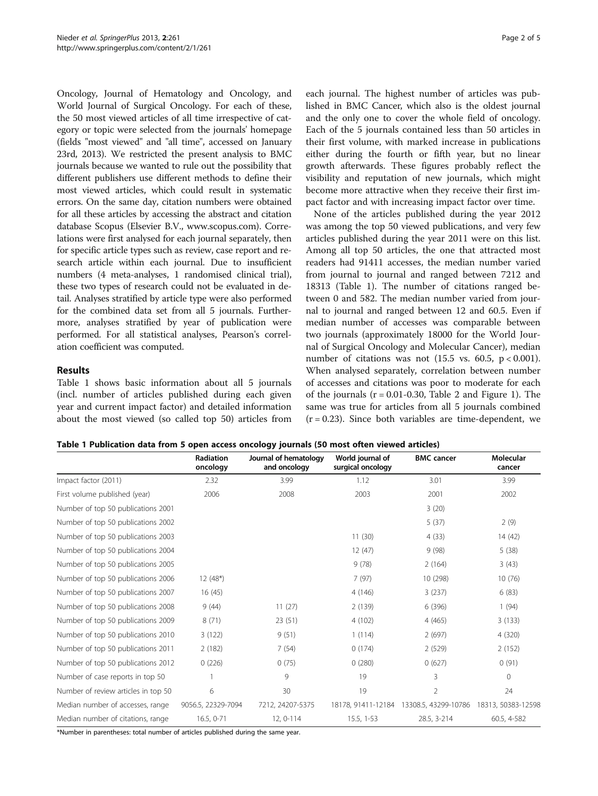Oncology, Journal of Hematology and Oncology, and World Journal of Surgical Oncology. For each of these, the 50 most viewed articles of all time irrespective of category or topic were selected from the journals' homepage (fields "most viewed" and "all time", accessed on January 23rd, 2013). We restricted the present analysis to BMC journals because we wanted to rule out the possibility that different publishers use different methods to define their most viewed articles, which could result in systematic errors. On the same day, citation numbers were obtained for all these articles by accessing the abstract and citation database Scopus (Elsevier B.V., [www.scopus.com](http://www.scopus.com)). Correlations were first analysed for each journal separately, then for specific article types such as review, case report and research article within each journal. Due to insufficient numbers (4 meta-analyses, 1 randomised clinical trial), these two types of research could not be evaluated in detail. Analyses stratified by article type were also performed for the combined data set from all 5 journals. Furthermore, analyses stratified by year of publication were performed. For all statistical analyses, Pearson's correlation coefficient was computed.

# Results

Table 1 shows basic information about all 5 journals (incl. number of articles published during each given year and current impact factor) and detailed information about the most viewed (so called top 50) articles from

each journal. The highest number of articles was published in BMC Cancer, which also is the oldest journal and the only one to cover the whole field of oncology. Each of the 5 journals contained less than 50 articles in their first volume, with marked increase in publications either during the fourth or fifth year, but no linear growth afterwards. These figures probably reflect the visibility and reputation of new journals, which might become more attractive when they receive their first impact factor and with increasing impact factor over time.

None of the articles published during the year 2012 was among the top 50 viewed publications, and very few articles published during the year 2011 were on this list. Among all top 50 articles, the one that attracted most readers had 91411 accesses, the median number varied from journal to journal and ranged between 7212 and 18313 (Table 1). The number of citations ranged between 0 and 582. The median number varied from journal to journal and ranged between 12 and 60.5. Even if median number of accesses was comparable between two journals (approximately 18000 for the World Journal of Surgical Oncology and Molecular Cancer), median number of citations was not  $(15.5 \text{ vs. } 60.5, \text{ p} < 0.001)$ . When analysed separately, correlation between number of accesses and citations was poor to moderate for each of the journals  $(r = 0.01 - 0.30,$  Table [2](#page-2-0) and Figure [1\)](#page-2-0). The same was true for articles from all 5 journals combined  $(r = 0.23)$ . Since both variables are time-dependent, we

|  |  |  | Table 1 Publication data from 5 open access oncology journals (50 most often viewed articles) |
|--|--|--|-----------------------------------------------------------------------------------------------|
|--|--|--|-----------------------------------------------------------------------------------------------|

|                                     | <b>Radiation</b><br>oncology | Journal of hematology<br>and oncology | World journal of<br>surgical oncology | <b>BMC</b> cancer                       | Molecular<br>cancer |
|-------------------------------------|------------------------------|---------------------------------------|---------------------------------------|-----------------------------------------|---------------------|
| Impact factor (2011)                | 2.32                         | 3.99                                  | 1.12                                  | 3.01                                    | 3.99                |
| First volume published (year)       | 2006                         | 2008                                  | 2003                                  | 2001                                    | 2002                |
| Number of top 50 publications 2001  |                              |                                       |                                       | 3(20)                                   |                     |
| Number of top 50 publications 2002  |                              |                                       |                                       | 5(37)                                   | 2(9)                |
| Number of top 50 publications 2003  |                              |                                       | 11(30)                                | 4(33)                                   | 14(42)              |
| Number of top 50 publications 2004  |                              |                                       | 12(47)                                | 9(98)                                   | 5(38)               |
| Number of top 50 publications 2005  |                              |                                       | 9(78)                                 | 2(164)                                  | 3(43)               |
| Number of top 50 publications 2006  | $12(48*)$                    |                                       | 7(97)                                 | 10 (298)                                | 10(76)              |
| Number of top 50 publications 2007  | 16(45)                       |                                       | 4(146)                                | 3(237)                                  | 6(83)               |
| Number of top 50 publications 2008  | 9(44)                        | 11(27)                                | 2(139)                                | 6 (396)                                 | 1(94)               |
| Number of top 50 publications 2009  | 8(71)                        | 23(51)                                | 4(102)                                | 4(465)                                  | 3(133)              |
| Number of top 50 publications 2010  | 3(122)                       | 9(51)                                 | 1(114)                                | 2(697)                                  | 4 (320)             |
| Number of top 50 publications 2011  | 2(182)                       | 7(54)                                 | 0(174)                                | 2(529)                                  | 2(152)              |
| Number of top 50 publications 2012  | 0(226)                       | 0(75)                                 | 0(280)                                | 0(627)                                  | 0(91)               |
| Number of case reports in top 50    |                              | 9                                     | 19                                    | 3                                       | $\Omega$            |
| Number of review articles in top 50 | 6                            | 30                                    | 19                                    | $\overline{2}$                          | 24                  |
| Median number of accesses, range    | 9056.5, 22329-7094           | 7212, 24207-5375                      |                                       | 18178, 91411-12184 13308.5, 43299-10786 | 18313, 50383-12598  |
| Median number of citations, range   | 16.5, 0-71                   | 12, 0-114                             | $15.5, 1-53$                          | 28.5, 3-214                             | 60.5, 4-582         |

\*Number in parentheses: total number of articles published during the same year.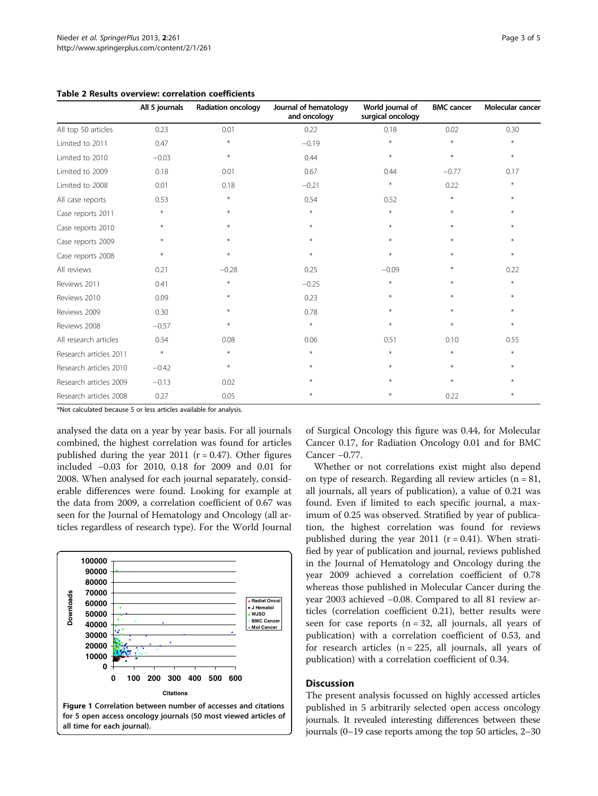|                        | All 5 journals | <b>Radiation oncology</b> | Journal of hematology<br>and oncology | World journal of<br>surgical oncology | <b>BMC</b> cancer | Molecular cancer |
|------------------------|----------------|---------------------------|---------------------------------------|---------------------------------------|-------------------|------------------|
| All top 50 articles    | 0.23           | 0.01                      | 0.22                                  | 0.18                                  | 0.02              | 0.30             |
| Limited to 2011        | 0.47           | $\ast$                    | $-0.19$                               | $\ast$                                | $*$               | $\ast$           |
| Limited to 2010        | $-0.03$        | $\ast$                    | 0.44                                  | $\star$                               | $\star$           | $\ast$           |
| Limited to 2009        | 0.18           | 0.01                      | 0.67                                  | 0.44                                  | $-0.77$           | 0.17             |
| Limited to 2008        | 0.01           | 0.18                      | $-0.21$                               | $\ast$                                | 0.22              | $\ast$           |
| All case reports       | 0.53           | $\ast$                    | 0.54                                  | 0.52                                  | $\star$           | $*$              |
| Case reports 2011      | $\ast$         | $*$                       | $\ast$                                | $\ast$                                | $*$               | $*$              |
| Case reports 2010      | $\ast$         | $*$                       | $\ast$                                | $\star$                               | $*$               | $*$              |
| Case reports 2009      | $\ast$         | $\ast$                    | $\ast$                                | $\ast$                                | $\ast$            | $\ast$           |
| Case reports 2008      | $\ast$         | $\ast$                    | $\ast$                                | $\ast$                                | $\ast$            | $\ast$           |
| All reviews            | 0.21           | $-0.28$                   | 0.25                                  | $-0.09$                               | $\ast$            | 0.22             |
| Reviews 2011           | 0.41           | $\ast$                    | $-0.25$                               | $\star$                               | $\star$           | $\ast$           |
| Reviews 2010           | 0.09           | $\ast$                    | 0.23                                  | $*$                                   | $*$               | $\ast$           |
| Reviews 2009           | 0.30           | $\ast$                    | 0.78                                  | $\star$                               | $\star$           | $*$              |
| Reviews 2008           | $-0.57$        | $\ast$                    | $\ast$                                | $\star$                               | $\star$           | ⋇                |
| All research articles  | 0.34           | 0.08                      | 0.06                                  | 0.51                                  | 0.10              | 0.55             |
| Research articles 2011 | $\ast$         | ⋇                         | $\ast$                                | $\ast$                                | $\star$           | ⋇                |
| Research articles 2010 | $-0.42$        | $\ast$                    | $\ast$                                | $*$                                   | $*$               | $\ast$           |
| Research articles 2009 | $-0.13$        | 0.02                      | ⋇                                     | $*$                                   | $*$               | $*$              |
| Research articles 2008 | 0.27           | 0.05                      | $\ast$                                | $\ast$                                | 0.22              | $\ast$           |

<span id="page-2-0"></span>Table 2 Results overview: correlation coefficients

\*Not calculated because 5 or less articles available for analysis.

analysed the data on a year by year basis. For all journals combined, the highest correlation was found for articles published during the year 2011 ( $r = 0.47$ ). Other figures included −0.03 for 2010, 0.18 for 2009 and 0.01 for 2008. When analysed for each journal separately, considerable differences were found. Looking for example at the data from 2009, a correlation coefficient of 0.67 was seen for the Journal of Hematology and Oncology (all articles regardless of research type). For the World Journal



for 5 open access oncology journals (50 most viewed articles of all time for each journal).

of Surgical Oncology this figure was 0.44, for Molecular Cancer 0.17, for Radiation Oncology 0.01 and for BMC Cancer −0.77.

Whether or not correlations exist might also depend on type of research. Regarding all review articles  $(n = 81,$ all journals, all years of publication), a value of 0.21 was found. Even if limited to each specific journal, a maximum of 0.25 was observed. Stratified by year of publication, the highest correlation was found for reviews published during the year 2011 ( $r = 0.41$ ). When stratified by year of publication and journal, reviews published in the Journal of Hematology and Oncology during the year 2009 achieved a correlation coefficient of 0.78 whereas those published in Molecular Cancer during the year 2003 achieved −0.08. Compared to all 81 review articles (correlation coefficient 0.21), better results were seen for case reports  $(n = 32,$  all journals, all years of publication) with a correlation coefficient of 0.53, and for research articles  $(n = 225, \text{ all journals, all years of})$ publication) with a correlation coefficient of 0.34.

## **Discussion**

The present analysis focussed on highly accessed articles published in 5 arbitrarily selected open access oncology journals. It revealed interesting differences between these journals (0–19 case reports among the top 50 articles, 2–30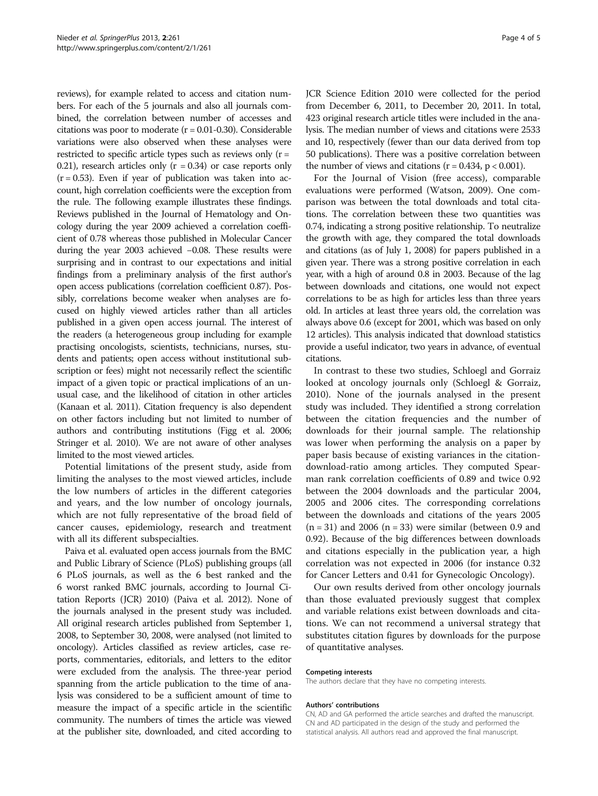reviews), for example related to access and citation numbers. For each of the 5 journals and also all journals combined, the correlation between number of accesses and citations was poor to moderate  $(r = 0.01 - 0.30)$ . Considerable variations were also observed when these analyses were restricted to specific article types such as reviews only  $(r =$ 0.21), research articles only  $(r = 0.34)$  or case reports only  $(r = 0.53)$ . Even if year of publication was taken into account, high correlation coefficients were the exception from the rule. The following example illustrates these findings. Reviews published in the Journal of Hematology and Oncology during the year 2009 achieved a correlation coefficient of 0.78 whereas those published in Molecular Cancer during the year 2003 achieved −0.08. These results were surprising and in contrast to our expectations and initial findings from a preliminary analysis of the first author's open access publications (correlation coefficient 0.87). Possibly, correlations become weaker when analyses are focused on highly viewed articles rather than all articles published in a given open access journal. The interest of the readers (a heterogeneous group including for example practising oncologists, scientists, technicians, nurses, students and patients; open access without institutional subscription or fees) might not necessarily reflect the scientific impact of a given topic or practical implications of an unusual case, and the likelihood of citation in other articles (Kanaan et al. [2011\)](#page-4-0). Citation frequency is also dependent on other factors including but not limited to number of authors and contributing institutions (Figg et al. [2006](#page-4-0); Stringer et al. [2010\)](#page-4-0). We are not aware of other analyses limited to the most viewed articles.

Potential limitations of the present study, aside from limiting the analyses to the most viewed articles, include the low numbers of articles in the different categories and years, and the low number of oncology journals, which are not fully representative of the broad field of cancer causes, epidemiology, research and treatment with all its different subspecialties.

Paiva et al. evaluated open access journals from the BMC and Public Library of Science (PLoS) publishing groups (all 6 PLoS journals, as well as the 6 best ranked and the 6 worst ranked BMC journals, according to Journal Citation Reports (JCR) 2010) (Paiva et al. [2012](#page-4-0)). None of the journals analysed in the present study was included. All original research articles published from September 1, 2008, to September 30, 2008, were analysed (not limited to oncology). Articles classified as review articles, case reports, commentaries, editorials, and letters to the editor were excluded from the analysis. The three-year period spanning from the article publication to the time of analysis was considered to be a sufficient amount of time to measure the impact of a specific article in the scientific community. The numbers of times the article was viewed at the publisher site, downloaded, and cited according to JCR Science Edition 2010 were collected for the period from December 6, 2011, to December 20, 2011. In total, 423 original research article titles were included in the analysis. The median number of views and citations were 2533 and 10, respectively (fewer than our data derived from top 50 publications). There was a positive correlation between the number of views and citations  $(r = 0.434, p < 0.001)$ .

For the Journal of Vision (free access), comparable evaluations were performed (Watson, [2009](#page-4-0)). One comparison was between the total downloads and total citations. The correlation between these two quantities was 0.74, indicating a strong positive relationship. To neutralize the growth with age, they compared the total downloads and citations (as of July 1, 2008) for papers published in a given year. There was a strong positive correlation in each year, with a high of around 0.8 in 2003. Because of the lag between downloads and citations, one would not expect correlations to be as high for articles less than three years old. In articles at least three years old, the correlation was always above 0.6 (except for 2001, which was based on only 12 articles). This analysis indicated that download statistics provide a useful indicator, two years in advance, of eventual citations.

In contrast to these two studies, Schloegl and Gorraiz looked at oncology journals only (Schloegl & Gorraiz, [2010](#page-4-0)). None of the journals analysed in the present study was included. They identified a strong correlation between the citation frequencies and the number of downloads for their journal sample. The relationship was lower when performing the analysis on a paper by paper basis because of existing variances in the citationdownload-ratio among articles. They computed Spearman rank correlation coefficients of 0.89 and twice 0.92 between the 2004 downloads and the particular 2004, 2005 and 2006 cites. The corresponding correlations between the downloads and citations of the years 2005  $(n = 31)$  and 2006  $(n = 33)$  were similar (between 0.9 and 0.92). Because of the big differences between downloads and citations especially in the publication year, a high correlation was not expected in 2006 (for instance 0.32 for Cancer Letters and 0.41 for Gynecologic Oncology).

Our own results derived from other oncology journals than those evaluated previously suggest that complex and variable relations exist between downloads and citations. We can not recommend a universal strategy that substitutes citation figures by downloads for the purpose of quantitative analyses.

#### Competing interests

The authors declare that they have no competing interests.

#### Authors' contributions

CN, AD and GA performed the article searches and drafted the manuscript. CN and AD participated in the design of the study and performed the statistical analysis. All authors read and approved the final manuscript.